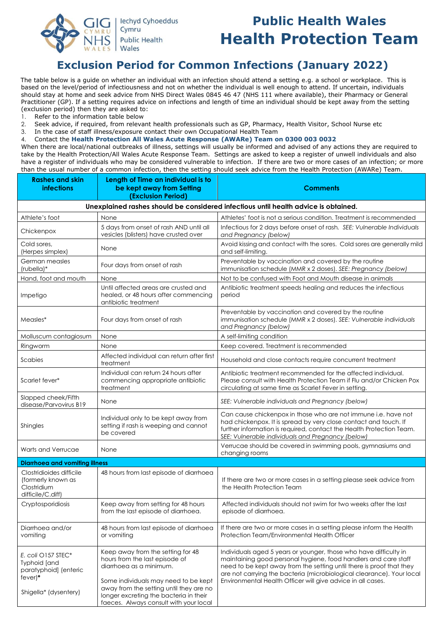

# **Public Health Wales Health Protection Team**

## **Exclusion Period for Common Infections (January 2022)**

The table below is a guide on whether an individual with an infection should attend a setting e.g. a school or workplace. This is based on the level/period of infectiousness and not on whether the individual is well enough to attend. If uncertain, individuals should stay at home and seek advice from NHS Direct Wales 0845 46 47 (NHS 111 where available), their Pharmacy or General Practitioner (GP). If a setting requires advice on infections and length of time an individual should be kept away from the setting (exclusion period) then they are asked to:

1. Refer to the information table below

2. Seek advice, if required, from relevant health professionals such as GP, Pharmacy, Health Visitor, School Nurse etc

3. In the case of staff illness/exposure contact their own Occupational Health Team

4. Contact the **Health Protection All Wales Acute Response (AWARe) Team on 0300 003 0032**

When there are local/national outbreaks of illness, settings will usually be informed and advised of any actions they are required to take by the Health Protection/All Wales Acute Response Team. Settings are asked to keep a register of unwell individuals and also have a register of individuals who may be considered vulnerable to infection. If there are two or more cases of an infection; or more than the usual number of a common infection, then the setting should seek advice from the Health Protection (AWARe) Team.

| <b>Rashes and skin</b><br><i>infections</i>                                                       | Length of Time an individual is to<br>be kept away from Setting<br>(Exclusion Period)                                                                                                                                                                                 | Comments                                                                                                                                                                                                                                                                                                                                             |  |
|---------------------------------------------------------------------------------------------------|-----------------------------------------------------------------------------------------------------------------------------------------------------------------------------------------------------------------------------------------------------------------------|------------------------------------------------------------------------------------------------------------------------------------------------------------------------------------------------------------------------------------------------------------------------------------------------------------------------------------------------------|--|
| Unexplained rashes should be considered infectious until health advice is obtained.               |                                                                                                                                                                                                                                                                       |                                                                                                                                                                                                                                                                                                                                                      |  |
| Athlete's foot                                                                                    | None                                                                                                                                                                                                                                                                  | Athletes' foot is not a serious condition. Treatment is recommended                                                                                                                                                                                                                                                                                  |  |
| Chickenpox                                                                                        | 5 days from onset of rash AND until all<br>vesicles (blisters) have crusted over                                                                                                                                                                                      | Infectious for 2 days before onset of rash. SEE: Vulnerable Individuals<br>and Pregnancy (below)                                                                                                                                                                                                                                                     |  |
| Cold sores,<br>(Herpes simplex)                                                                   | None                                                                                                                                                                                                                                                                  | Avoid kissing and contact with the sores. Cold sores are generally mild<br>and self-limiting.                                                                                                                                                                                                                                                        |  |
| German measles<br>(rubella)*                                                                      | Four days from onset of rash                                                                                                                                                                                                                                          | Preventable by vaccination and covered by the routine<br>immunisation schedule (MMR x 2 doses). SEE: Pregnancy (below)                                                                                                                                                                                                                               |  |
| Hand, foot and mouth                                                                              | None                                                                                                                                                                                                                                                                  | Not to be confused with Foot and Mouth disease in animals                                                                                                                                                                                                                                                                                            |  |
| Impetigo                                                                                          | Until affected areas are crusted and<br>healed, or 48 hours after commencing<br>antibiotic treatment                                                                                                                                                                  | Antibiotic treatment speeds healing and reduces the infectious<br>period                                                                                                                                                                                                                                                                             |  |
| Measles*                                                                                          | Four days from onset of rash                                                                                                                                                                                                                                          | Preventable by vaccination and covered by the routine<br>immunisation schedule (MMR x 2 doses). SEE: Vulnerable individuals<br>and Pregnancy (below)                                                                                                                                                                                                 |  |
| Molluscum contagiosum                                                                             | None                                                                                                                                                                                                                                                                  | A self-limiting condition                                                                                                                                                                                                                                                                                                                            |  |
| Ringworm                                                                                          | None                                                                                                                                                                                                                                                                  | Keep covered. Treatment is recommended                                                                                                                                                                                                                                                                                                               |  |
| Scabies                                                                                           | Affected individual can return after first<br>treatment                                                                                                                                                                                                               | Household and close contacts require concurrent treatment                                                                                                                                                                                                                                                                                            |  |
| Scarlet fever*                                                                                    | Individual can return 24 hours after<br>commencing appropriate antibiotic<br>treatment                                                                                                                                                                                | Antibiotic treatment recommended for the affected individual.<br>Please consult with Health Protection Team if Flu and/or Chicken Pox<br>circulating at same time as Scarlet Fever in setting.                                                                                                                                                       |  |
| Slapped cheek/Fifth<br>disease/Parvovirus B19                                                     | None                                                                                                                                                                                                                                                                  | SEE: Vulnerable individuals and Pregnancy (below)                                                                                                                                                                                                                                                                                                    |  |
| Shingles                                                                                          | Individual only to be kept away from<br>setting if rash is weeping and cannot<br>be covered                                                                                                                                                                           | Can cause chickenpox in those who are not immune i.e. have not<br>had chickenpox. It is spread by very close contact and touch. If<br>further information is required, contact the Health Protection Team.<br>SEE: Vulnerable individuals and Pregnancy (below)                                                                                      |  |
| Warts and Verrucae                                                                                | None                                                                                                                                                                                                                                                                  | Verrucae should be covered in swimming pools, gymnasiums and<br>changing rooms                                                                                                                                                                                                                                                                       |  |
| <b>Diarrhoea and vomiting illness</b>                                                             |                                                                                                                                                                                                                                                                       |                                                                                                                                                                                                                                                                                                                                                      |  |
| Clostridioides difficile<br>(formerly known as<br>Clostridium<br>difficile/C.diff)                | 48 hours from last episode of diarrhoea                                                                                                                                                                                                                               | If there are two or more cases in a setting please seek advice from<br>the Health Protection Team                                                                                                                                                                                                                                                    |  |
| Cryptosporidiosis                                                                                 | Keep away from setting for 48 hours<br>from the last episode of diarrhoea.                                                                                                                                                                                            | Affected individuals should not swim for two weeks after the last<br>episode of diarrhoea.                                                                                                                                                                                                                                                           |  |
| Diarrhoea and/or<br>vomiting                                                                      | 48 hours from last episode of diarrhoea<br>or vomiting                                                                                                                                                                                                                | If there are two or more cases in a setting please inform the Health<br>Protection Team/Environmental Health Officer                                                                                                                                                                                                                                 |  |
| E. coli O157 STEC*<br>Typhoid [and<br>paratyphoid] (enteric<br>$fever)*$<br>Shigella* (dysentery) | Keep away from the setting for 48<br>hours from the last episode of<br>diarrhoea as a minimum.<br>Some individuals may need to be kept<br>away from the setting until they are no<br>longer excreting the bacteria in their<br>faeces. Always consult with your local | Individuals aged 5 years or younger, those who have difficulty in<br>maintaining good personal hygiene, food handlers and care staff<br>need to be kept away from the setting until there is proof that they<br>are not carrying the bacteria (microbiological clearance). Your local<br>Environmental Health Officer will give advice in all cases. |  |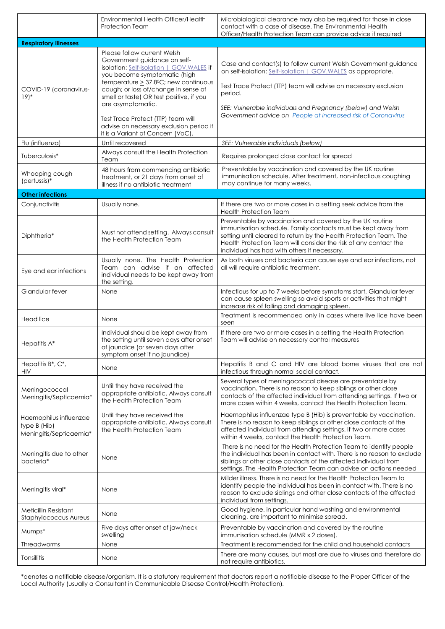|                                                                   | Environmental Health Officer/Health<br><b>Protection Team</b>                                                                                                                                                                                                                                 | Microbiological clearance may also be required for those in close<br>contact with a case of disease. The Environmental Health<br>Officer/Health Protection Team can provide advice if required                                                                                                                      |
|-------------------------------------------------------------------|-----------------------------------------------------------------------------------------------------------------------------------------------------------------------------------------------------------------------------------------------------------------------------------------------|---------------------------------------------------------------------------------------------------------------------------------------------------------------------------------------------------------------------------------------------------------------------------------------------------------------------|
| <b>Respiratory illnesses</b>                                      |                                                                                                                                                                                                                                                                                               |                                                                                                                                                                                                                                                                                                                     |
| COVID-19 (coronavirus-<br>$19)*$                                  | Please follow current Welsh<br>Government guidance on self-<br>isolation: Self-isolation   GOV.WALES if<br>you become symptomatic (high<br>temperature $\geq$ 37.8°C; new continuous<br>cough; or loss of/change in sense of<br>smell or taste) OR test positive, if you<br>are asymptomatic. | Case and contact(s) to follow current Welsh Government guidance<br>on self-isolation: Self-isolation   GOV.WALES as appropriate.<br>Test Trace Protect (TTP) team will advise on necessary exclusion<br>period.<br>SEE: Vulnerable individuals and Pregnancy (below) and Welsh                                      |
|                                                                   | Test Trace Protect (TTP) team will<br>advise on necessary exclusion period if<br>it is a Variant of Concern (VoC)                                                                                                                                                                             | Government advice on People at increased risk of Coronavirus                                                                                                                                                                                                                                                        |
| Flu (influenza)                                                   | Until recovered                                                                                                                                                                                                                                                                               | SEE: Vulnerable individuals (below)                                                                                                                                                                                                                                                                                 |
| Tuberculosis*                                                     | Always consult the Health Protection<br>Team                                                                                                                                                                                                                                                  | Requires prolonged close contact for spread                                                                                                                                                                                                                                                                         |
| Whooping cough<br>(pertussis)*                                    | 48 hours from commencing antibiotic<br>treatment, or 21 days from onset of<br>illness if no antibiotic treatment                                                                                                                                                                              | Preventable by vaccination and covered by the UK routine<br>immunisation schedule. After treatment, non-infectious coughing<br>may continue for many weeks.                                                                                                                                                         |
| <b>Other infections</b>                                           |                                                                                                                                                                                                                                                                                               |                                                                                                                                                                                                                                                                                                                     |
| Conjunctivitis                                                    | Usually none.                                                                                                                                                                                                                                                                                 | If there are two or more cases in a setting seek advice from the<br><b>Health Protection Team</b>                                                                                                                                                                                                                   |
| Diphtheria*                                                       | Must not attend setting. Always consult<br>the Health Protection Team                                                                                                                                                                                                                         | Preventable by vaccination and covered by the UK routine<br>immunisation schedule. Family contacts must be kept away from<br>setting until cleared to return by the Health Protection Team. The<br>Health Protection Team will consider the risk of any contact the<br>individual has had with others if necessary. |
| Eye and ear infections                                            | Usually none. The Health Protection<br>Team can advise if an affected<br>individual needs to be kept away from<br>the setting.                                                                                                                                                                | As both viruses and bacteria can cause eye and ear infections, not<br>all will require antibiotic treatment.                                                                                                                                                                                                        |
| Glandular fever                                                   | None                                                                                                                                                                                                                                                                                          | Infectious for up to 7 weeks before symptoms start. Glandular fever<br>can cause spleen swelling so avoid sports or activities that might<br>increase risk of falling and damaging spleen.                                                                                                                          |
| Head lice                                                         | None                                                                                                                                                                                                                                                                                          | Treatment is recommended only in cases where live lice have been<br>seen                                                                                                                                                                                                                                            |
| Hepatitis A*                                                      | Individual should be kept away from<br>the setting until seven days after onset<br>of iaundice (or seven davs after<br>symptom onset if no jaundice)                                                                                                                                          | If there are two or more cases in a setting the Health Protection<br>Team will advise on necessary control measures                                                                                                                                                                                                 |
| Hepatitis B*, C*,<br>HIV                                          | None                                                                                                                                                                                                                                                                                          | Hepatitis B and C and HIV are blood borne viruses that are not<br>infectious through normal social contact.                                                                                                                                                                                                         |
| Meningococcal<br>Meningitis/Septicaemia*                          | Until they have received the<br>appropriate antibiotic. Always consult<br>the Health Protection Team                                                                                                                                                                                          | Several types of meningococcal disease are preventable by<br>vaccination. There is no reason to keep siblings or other close<br>contacts of the affected individual from attending settings. If two or<br>more cases within 4 weeks, contact the Health Protection Team.                                            |
| Haemophilus influenzae<br>type B (Hib)<br>Meningitis/Septicaemia* | Until they have received the<br>appropriate antibiotic. Always consult<br>the Health Protection Team                                                                                                                                                                                          | Haemophilus influenzae type B (Hib) is preventable by vaccination.<br>There is no reason to keep siblings or other close contacts of the<br>affected individual from attending settings. If two or more cases<br>within 4 weeks, contact the Health Protection Team.                                                |
| Meningitis due to other<br>bacteria*                              | None                                                                                                                                                                                                                                                                                          | There is no need for the Health Protection Team to identify people<br>the individual has been in contact with. There is no reason to exclude<br>siblings or other close contacts of the affected individual from<br>settings. The Health Protection Team can advise on actions needed                               |
| Meningitis viral*                                                 | None                                                                                                                                                                                                                                                                                          | Milder illness. There is no need for the Health Protection Team to<br>identify people the individual has been in contact with. There is no<br>reason to exclude siblings and other close contacts of the affected<br>individual from settings.                                                                      |
| Meticillin Resistant<br><b>Staphylococcus Aureus</b>              | None                                                                                                                                                                                                                                                                                          | Good hygiene, in particular hand washing and environmental<br>cleaning, are important to minimise spread.                                                                                                                                                                                                           |
| Mumps*                                                            | Five days after onset of jaw/neck<br>swelling                                                                                                                                                                                                                                                 | Preventable by vaccination and covered by the routine<br>immunisation schedule (MMR x 2 doses).                                                                                                                                                                                                                     |
| <b>Threadworms</b>                                                | None                                                                                                                                                                                                                                                                                          | Treatment is recommended for the child and household contacts                                                                                                                                                                                                                                                       |
| Tonsillitis                                                       | None                                                                                                                                                                                                                                                                                          | There are many causes, but most are due to viruses and therefore do<br>not require antibiotics.                                                                                                                                                                                                                     |

\*denotes a notifiable disease/organism. It is a statutory requirement that doctors report a notifiable disease to the Proper Officer of the Local Authority (usually a Consultant in Communicable Disease Control/Health Protection).